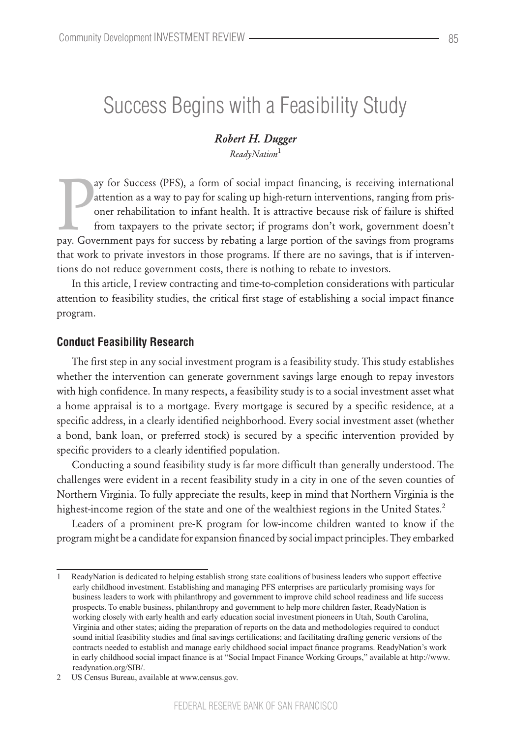# Success Begins with a Feasibility Study

### *Robert H. Dugger ReadyNation*<sup>1</sup>

ay for Success (PFS), a form of social impact financing, is receiving international attention as a way to pay for scaling up high-return interventions, ranging from prisoner rehabilitation to infant health. It is attractiv ay for Success (PFS), a form of social impact financing, is receiving international attention as a way to pay for scaling up high-return interventions, ranging from prisoner rehabilitation to infant health. It is attractive because risk of failure is shifted from taxpayers to the private sector; if programs don't work, government doesn't that work to private investors in those programs. If there are no savings, that is if interventions do not reduce government costs, there is nothing to rebate to investors.

In this article, I review contracting and time-to-completion considerations with particular attention to feasibility studies, the critical first stage of establishing a social impact finance program.

#### **Conduct Feasibility Research**

The first step in any social investment program is a feasibility study. This study establishes whether the intervention can generate government savings large enough to repay investors with high confidence. In many respects, a feasibility study is to a social investment asset what a home appraisal is to a mortgage. Every mortgage is secured by a specific residence, at a specific address, in a clearly identified neighborhood. Every social investment asset (whether a bond, bank loan, or preferred stock) is secured by a specific intervention provided by specific providers to a clearly identified population.

Conducting a sound feasibility study is far more difficult than generally understood. The challenges were evident in a recent feasibility study in a city in one of the seven counties of Northern Virginia. To fully appreciate the results, keep in mind that Northern Virginia is the highest-income region of the state and one of the wealthiest regions in the United States.<sup>2</sup>

Leaders of a prominent pre-K program for low-income children wanted to know if the program might be a candidate for expansion financed by social impact principles. They embarked

<sup>1</sup> ReadyNation is dedicated to helping establish strong state coalitions of business leaders who support effective early childhood investment. Establishing and managing PFS enterprises are particularly promising ways for business leaders to work with philanthropy and government to improve child school readiness and life success prospects. To enable business, philanthropy and government to help more children faster, ReadyNation is working closely with early health and early education social investment pioneers in Utah, South Carolina, Virginia and other states; aiding the preparation of reports on the data and methodologies required to conduct sound initial feasibility studies and final savings certifications; and facilitating drafting generic versions of the contracts needed to establish and manage early childhood social impact finance programs. ReadyNation's work in early childhood social impact finance is at "Social Impact Finance Working Groups," available at http://www. readynation.org/SIB/.

<sup>2</sup> US Census Bureau, available at www.census.gov.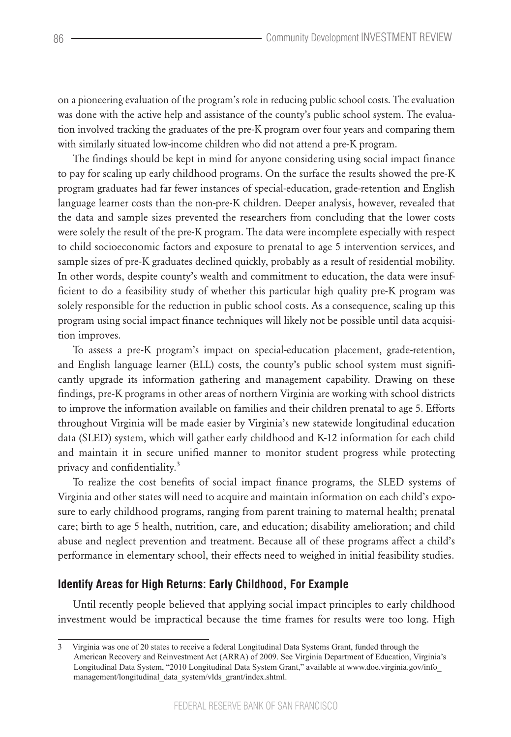on a pioneering evaluation of the program's role in reducing public school costs. The evaluation was done with the active help and assistance of the county's public school system. The evaluation involved tracking the graduates of the pre-K program over four years and comparing them with similarly situated low-income children who did not attend a pre-K program.

The findings should be kept in mind for anyone considering using social impact finance to pay for scaling up early childhood programs. On the surface the results showed the pre-K program graduates had far fewer instances of special-education, grade-retention and English language learner costs than the non-pre-K children. Deeper analysis, however, revealed that the data and sample sizes prevented the researchers from concluding that the lower costs were solely the result of the pre-K program. The data were incomplete especially with respect to child socioeconomic factors and exposure to prenatal to age 5 intervention services, and sample sizes of pre-K graduates declined quickly, probably as a result of residential mobility. In other words, despite county's wealth and commitment to education, the data were insufficient to do a feasibility study of whether this particular high quality pre-K program was solely responsible for the reduction in public school costs. As a consequence, scaling up this program using social impact finance techniques will likely not be possible until data acquisition improves.

To assess a pre-K program's impact on special-education placement, grade-retention, and English language learner (ELL) costs, the county's public school system must significantly upgrade its information gathering and management capability. Drawing on these findings, pre-K programs in other areas of northern Virginia are working with school districts to improve the information available on families and their children prenatal to age 5. Efforts throughout Virginia will be made easier by Virginia's new statewide longitudinal education data (SLED) system, which will gather early childhood and K-12 information for each child and maintain it in secure unified manner to monitor student progress while protecting privacy and confidentiality.<sup>3</sup>

To realize the cost benefits of social impact finance programs, the SLED systems of Virginia and other states will need to acquire and maintain information on each child's exposure to early childhood programs, ranging from parent training to maternal health; prenatal care; birth to age 5 health, nutrition, care, and education; disability amelioration; and child abuse and neglect prevention and treatment. Because all of these programs affect a child's performance in elementary school, their effects need to weighed in initial feasibility studies.

### **Identify Areas for High Returns: Early Childhood, For Example**

Until recently people believed that applying social impact principles to early childhood investment would be impractical because the time frames for results were too long. High

<sup>3</sup> Virginia was one of 20 states to receive a federal Longitudinal Data Systems Grant, funded through the American Recovery and Reinvestment Act (ARRA) of 2009. See Virginia Department of Education, Virginia's Longitudinal Data System, "2010 Longitudinal Data System Grant," available at www.doe.virginia.gov/info\_ management/longitudinal\_data\_system/vlds\_grant/index.shtml.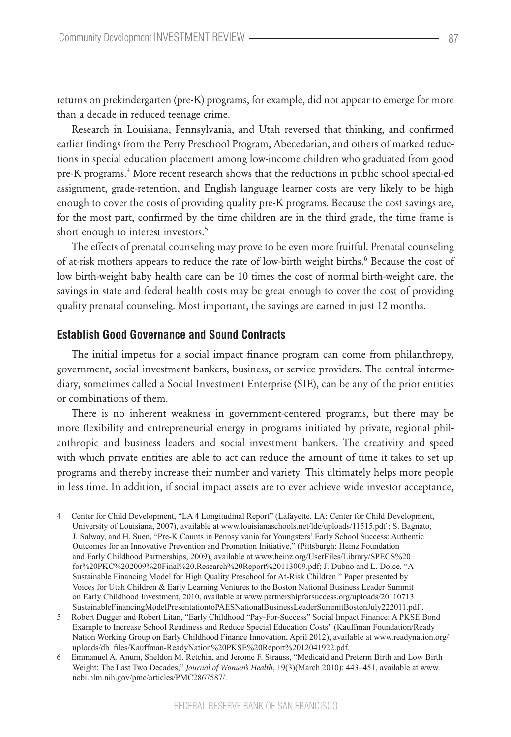returns on prekindergarten (pre-K) programs, for example, did not appear to emerge for more than a decade in reduced teenage crime.

Research in Louisiana, Pennsylvania, and Utah reversed that thinking, and confirmed earlier findings from the Perry Preschool Program, Abecedarian, and others of marked reductions in special education placement among low-income children who graduated from good pre-K programs.<sup>4</sup> More recent research shows that the reductions in public school special-ed assignment, grade-retention, and English language learner costs are very likely to be high enough to cover the costs of providing quality pre-K programs. Because the cost savings are, for the most part, confirmed by the time children are in the third grade, the time frame is short enough to interest investors.<sup>5</sup>

The effects of prenatal counseling may prove to be even more fruitful. Prenatal counseling of at-risk mothers appears to reduce the rate of low-birth weight births.<sup>6</sup> Because the cost of low birth-weight baby health care can be 10 times the cost of normal birth-weight care, the savings in state and federal health costs may be great enough to cover the cost of providing quality prenatal counseling. Most important, the savings are earned in just 12 months.

#### **Establish Good Governance and Sound Contracts**

The initial impetus for a social impact finance program can come from philanthropy, government, social investment bankers, business, or service providers. The central intermediary, sometimes called a Social Investment Enterprise (SIE), can be any of the prior entities or combinations of them.

There is no inherent weakness in government-centered programs, but there may be more flexibility and entrepreneurial energy in programs initiated by private, regional philanthropic and business leaders and social investment bankers. The creativity and speed with which private entities are able to act can reduce the amount of time it takes to set up programs and thereby increase their number and variety. This ultimately helps more people in less time. In addition, if social impact assets are to ever achieve wide investor acceptance,

<sup>4</sup> Center for Child Development, "LA 4 Longitudinal Report" (Lafayette, LA: Center for Child Development, University of Louisiana, 2007), available at www.louisianaschools.net/lde/uploads/11515.pdf ; S. Bagnato, J. Salway, and H. Suen, "Pre-K Counts in Pennsylvania for Youngsters' Early School Success: Authentic Outcomes for an Innovative Prevention and Promotion Initiative," (Pittsburgh: Heinz Foundation and Early Childhood Partnerships, 2009), available at www.heinz.org/UserFiles/Library/SPECS%20 for%20PKC%202009%20Final%20.Research%20Report%20113009.pdf; J. Dubno and L. Dolce, "A Sustainable Financing Model for High Quality Preschool for At-Risk Children." Paper presented by Voices for Utah Children & Early Learning Ventures to the Boston National Business Leader Summit on Early Childhood Investment, 2010, available at www.partnershipforsuccess.org/uploads/20110713\_ SustainableFinancingModelPresentationtoPAESNationalBusinessLeaderSummitBostonJuly222011.pdf .

<sup>5</sup> Robert Dugger and Robert Litan, "Early Childhood "Pay-For-Success" Social Impact Finance: A PKSE Bond Example to Increase School Readiness and Reduce Special Education Costs" (Kauffman Foundation/Ready Nation Working Group on Early Childhood Finance Innovation, April 2012), available at www.readynation.org/ uploads/db\_files/Kauffman-ReadyNation%20PKSE%20Report%2012041922.pdf.

<sup>6</sup> Emmanuel A. Anum, Sheldon M. Retchin, and Jerome F. Strauss, "Medicaid and Preterm Birth and Low Birth Weight: The Last Two Decades," *Journal of Women's Health*, 19(3)(March 2010): 443–451, available at www. ncbi.nlm.nih.gov/pmc/articles/PMC2867587/.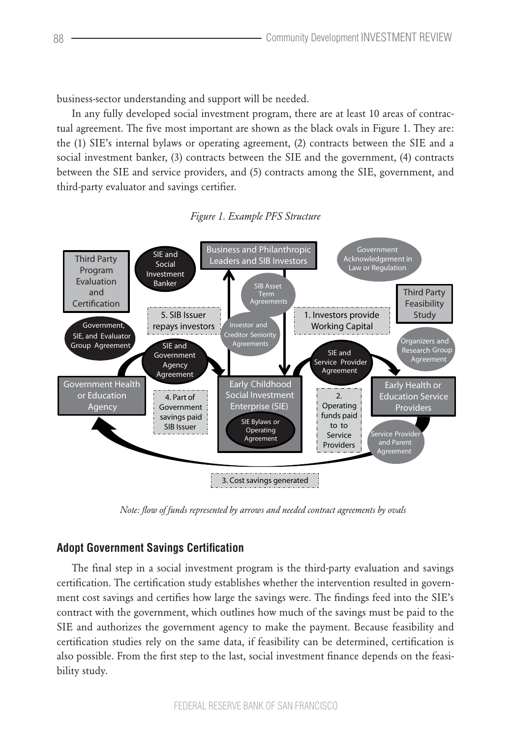business-sector understanding and support will be needed.

In any fully developed social investment program, there are at least 10 areas of contractual agreement. The five most important are shown as the black ovals in Figure 1. They are: the (1) SIE's internal bylaws or operating agreement, (2) contracts between the SIE and a social investment banker, (3) contracts between the SIE and the government, (4) contracts between the SIE and service providers, and (5) contracts among the SIE, government, and third-party evaluator and savings certifier.



 $Figure 1. Example PFS Structure$ 

*Note: flow of funds represented by arrows and needed contract agreements by ovals*

## **Adopt Government Savings Certification**

The final step in a social investment program is the third-party evaluation and savings certification. The certification study establishes whether the intervention resulted in government cost savings and certifies how large the savings were. The findings feed into the SIE's contract with the government, which outlines how much of the savings must be paid to the SIE and authorizes the government agency to make the payment. Because feasibility and certification studies rely on the same data, if feasibility can be determined, certification is also possible. From the first step to the last, social investment finance depends on the feasibility study.